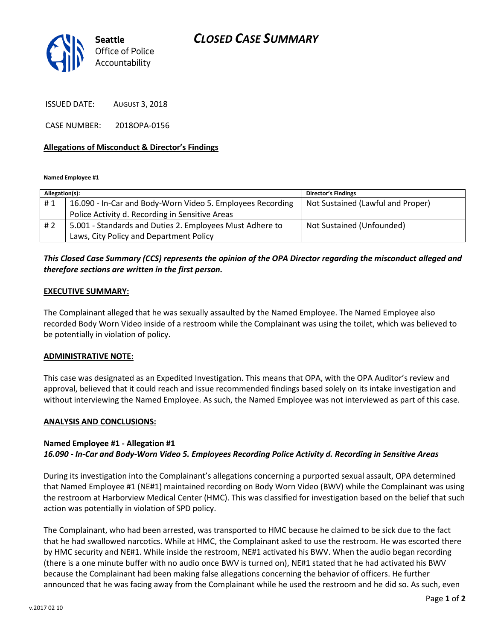

ISSUED DATE: AUGUST 3, 2018

CASE NUMBER: 2018OPA-0156

## **Allegations of Misconduct & Director's Findings**

**Named Employee #1**

| Allegation(s): |                                                            | <b>Director's Findings</b>        |
|----------------|------------------------------------------------------------|-----------------------------------|
| #1             | 16.090 - In-Car and Body-Worn Video 5. Employees Recording | Not Sustained (Lawful and Proper) |
|                | Police Activity d. Recording in Sensitive Areas            |                                   |
| #2             | 5.001 - Standards and Duties 2. Employees Must Adhere to   | Not Sustained (Unfounded)         |
|                | Laws, City Policy and Department Policy                    |                                   |

# *This Closed Case Summary (CCS) represents the opinion of the OPA Director regarding the misconduct alleged and therefore sections are written in the first person.*

## **EXECUTIVE SUMMARY:**

The Complainant alleged that he was sexually assaulted by the Named Employee. The Named Employee also recorded Body Worn Video inside of a restroom while the Complainant was using the toilet, which was believed to be potentially in violation of policy.

#### **ADMINISTRATIVE NOTE:**

This case was designated as an Expedited Investigation. This means that OPA, with the OPA Auditor's review and approval, believed that it could reach and issue recommended findings based solely on its intake investigation and without interviewing the Named Employee. As such, the Named Employee was not interviewed as part of this case.

#### **ANALYSIS AND CONCLUSIONS:**

## **Named Employee #1 - Allegation #1** *16.090 - In-Car and Body-Worn Video 5. Employees Recording Police Activity d. Recording in Sensitive Areas*

During its investigation into the Complainant's allegations concerning a purported sexual assault, OPA determined that Named Employee #1 (NE#1) maintained recording on Body Worn Video (BWV) while the Complainant was using the restroom at Harborview Medical Center (HMC). This was classified for investigation based on the belief that such action was potentially in violation of SPD policy.

The Complainant, who had been arrested, was transported to HMC because he claimed to be sick due to the fact that he had swallowed narcotics. While at HMC, the Complainant asked to use the restroom. He was escorted there by HMC security and NE#1. While inside the restroom, NE#1 activated his BWV. When the audio began recording (there is a one minute buffer with no audio once BWV is turned on), NE#1 stated that he had activated his BWV because the Complainant had been making false allegations concerning the behavior of officers. He further announced that he was facing away from the Complainant while he used the restroom and he did so. As such, even